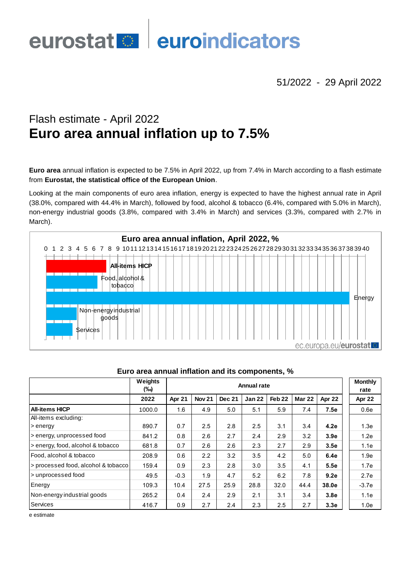# euroindicators eurostat<sup>o</sup>

51/2022 - 29 April 2022

# Flash estimate - April 2022 **Euro area annual inflation up to 7.5%**

**Euro area** annual inflation is expected to be 7.5% in April 2022, up from 7.4% in March according to a flash estimate from **Eurostat, the statistical office of the European Union**.

Looking at the main components of euro area inflation, energy is expected to have the highest annual rate in April (38.0%, compared with 44.4% in March), followed by food, alcohol & tobacco (6.4%, compared with 5.0% in March), non-energy industrial goods (3.8%, compared with 3.4% in March) and services (3.3%, compared with 2.7% in March).



|                                     | Weights<br>(‰) | <b>Annual rate</b> |               |        |               |                   |               |                  | <b>Monthly</b><br>rate |
|-------------------------------------|----------------|--------------------|---------------|--------|---------------|-------------------|---------------|------------------|------------------------|
|                                     | 2022           | Apr 21             | <b>Nov 21</b> | Dec 21 | <b>Jan 22</b> | Feb <sub>22</sub> | <b>Mar 22</b> | Apr 22           | Apr 22                 |
| <b>All-items HICP</b>               | 1000.0         | 1.6                | 4.9           | 5.0    | 5.1           | 5.9               | 7.4           | 7.5e             | 0.6e                   |
| All-items excluding:                |                |                    |               |        |               |                   |               |                  |                        |
| > energy                            | 890.7          | 0.7                | 2.5           | 2.8    | 2.5           | 3.1               | 3.4           | 4.2e             | 1.3e                   |
| s energy, unprocessed food          | 841.2          | 0.8                | 2.6           | 2.7    | 2.4           | 2.9               | 3.2           | 3.9e             | 1.2e                   |
| > energy, food, alcohol & tobacco   | 681.8          | 0.7                | 2.6           | 2.6    | 2.3           | 2.7               | 2.9           | 3.5e             | 1.1e                   |
| Food, alcohol & tobacco             | 208.9          | 0.6                | 2.2           | 3.2    | 3.5           | 4.2               | 5.0           | 6.4e             | 1.9e                   |
| > processed food, alcohol & tobacco | 159.4          | 0.9                | 2.3           | 2.8    | 3.0           | 3.5               | 4.1           | 5.5e             | 1.7e                   |
| > unprocessed food                  | 49.5           | $-0.3$             | 1.9           | 4.7    | 5.2           | 6.2               | 7.8           | 9.2e             | 2.7e                   |
| Energy                              | 109.3          | 10.4               | 27.5          | 25.9   | 28.8          | 32.0              | 44.4          | 38.0e            | $-3.7e$                |
| Non-energy industrial goods         | 265.2          | 0.4                | 2.4           | 2.9    | 2.1           | 3.1               | 3.4           | 3.8 <sub>e</sub> | 1.1e                   |
| Services                            | 416.7          | 0.9                | 2.7           | 2.4    | 2.3           | 2.5               | 2.7           | 3.3 <sub>e</sub> | 1.0e                   |

### **Euro area annual inflation and its components, %**

e estimate